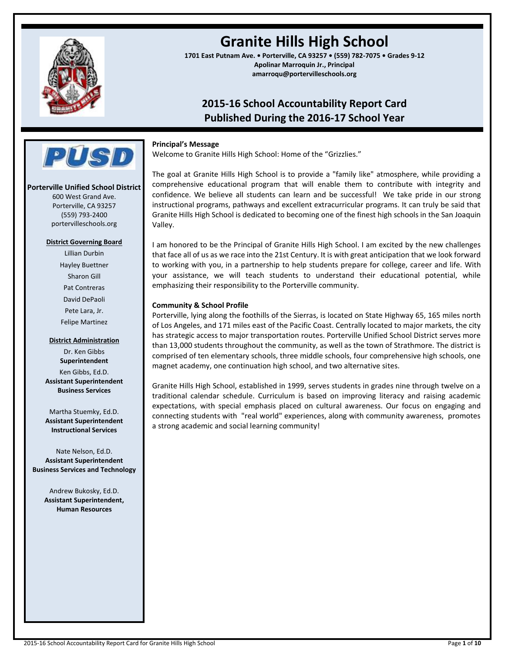

# **Granite Hills High School**

**1701 East Putnam Ave. • Porterville, CA 93257 • (559) 782-7075 • Grades 9-12 Apolinar Marroquin Jr., Principal amarroqu@portervilleschools.org**

## **2015-16 School Accountability Report Card Published During the 2016-17 School Year**

## **Principal's Message**

Welcome to Granite Hills High School: Home of the "Grizzlies."

The goal at Granite Hills High School is to provide a "family like" atmosphere, while providing a comprehensive educational program that will enable them to contribute with integrity and confidence. We believe all students can learn and be successful! We take pride in our strong instructional programs, pathways and excellent extracurricular programs. It can truly be said that Granite Hills High School is dedicated to becoming one of the finest high schools in the San Joaquin Valley.

I am honored to be the Principal of Granite Hills High School. I am excited by the new challenges that face all of us as we race into the 21st Century. It is with great anticipation that we look forward to working with you, in a partnership to help students prepare for college, career and life. With your assistance, we will teach students to understand their educational potential, while emphasizing their responsibility to the Porterville community.

## **Community & School Profile**

Porterville, lying along the foothills of the Sierras, is located on State Highway 65, 165 miles north of Los Angeles, and 171 miles east of the Pacific Coast. Centrally located to major markets, the city has strategic access to major transportation routes. Porterville Unified School District serves more than 13,000 students throughout the community, as well as the town of Strathmore. The district is comprised of ten elementary schools, three middle schools, four comprehensive high schools, one magnet academy, one continuation high school, and two alternative sites.

Granite Hills High School, established in 1999, serves students in grades nine through twelve on a traditional calendar schedule. Curriculum is based on improving literacy and raising academic expectations, with special emphasis placed on cultural awareness. Our focus on engaging and connecting students with "real world" experiences, along with community awareness, promotes a strong academic and social learning community!

**District Governing Board** Lillian Durbin Hayley Buettner Sharon Gill Pat Contreras David DePaoli Pete Lara, Jr. Felipe Martinez

**Porterville Unified School District** 600 West Grand Ave. Porterville, CA 93257 (559) 793-2400 portervilleschools.org

**PUST** 

#### **District Administration**

Dr. Ken Gibbs **Superintendent** Ken Gibbs, Ed.D. **Assistant Superintendent Business Services**

Martha Stuemky, Ed.D. **Assistant Superintendent Instructional Services**

Nate Nelson, Ed.D. **Assistant Superintendent Business Services and Technology**

> Andrew Bukosky, Ed.D. **Assistant Superintendent, Human Resources**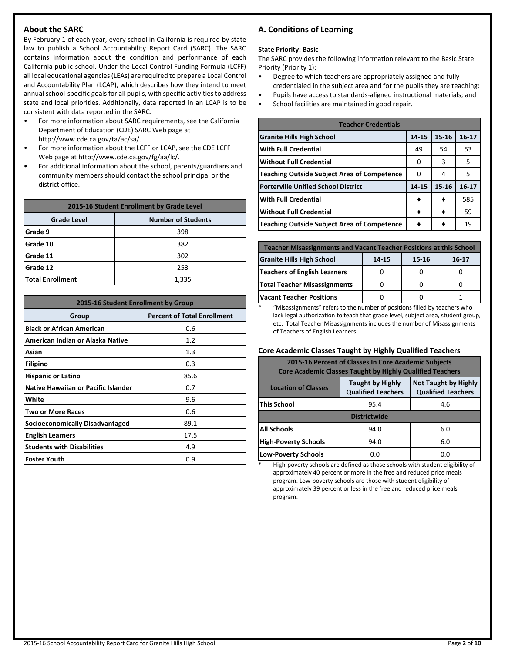## **About the SARC**

By February 1 of each year, every school in California is required by state law to publish a School Accountability Report Card (SARC). The SARC contains information about the condition and performance of each California public school. Under the Local Control Funding Formula (LCFF) all local educational agencies (LEAs) are required to prepare a Local Control and Accountability Plan (LCAP), which describes how they intend to meet annual school-specific goals for all pupils, with specific activities to address state and local priorities. Additionally, data reported in an LCAP is to be consistent with data reported in the SARC.

- For more information about SARC requirements, see the California Department of Education (CDE) SARC Web page at http://www.cde.ca.gov/ta/ac/sa/.
- For more information about the LCFF or LCAP, see the CDE LCFF Web page at http://www.cde.ca.gov/fg/aa/lc/.
- For additional information about the school, parents/guardians and community members should contact the school principal or the district office.

| 2015-16 Student Enrollment by Grade Level       |     |  |  |  |  |
|-------------------------------------------------|-----|--|--|--|--|
| <b>Number of Students</b><br><b>Grade Level</b> |     |  |  |  |  |
| Grade 9                                         | 398 |  |  |  |  |
| Grade 10                                        | 382 |  |  |  |  |
| Grade 11                                        | 302 |  |  |  |  |
| Grade 12                                        | 253 |  |  |  |  |
| <b>Total Enrollment</b><br>1,335                |     |  |  |  |  |

| 2015-16 Student Enrollment by Group        |                                    |  |  |  |  |  |
|--------------------------------------------|------------------------------------|--|--|--|--|--|
| Group                                      | <b>Percent of Total Enrollment</b> |  |  |  |  |  |
| <b>Black or African American</b>           | 0.6                                |  |  |  |  |  |
| American Indian or Alaska Native           | 1.2                                |  |  |  |  |  |
| Asian                                      | 1.3                                |  |  |  |  |  |
| <b>Filipino</b>                            | 0.3                                |  |  |  |  |  |
| <b>Hispanic or Latino</b>                  | 85.6                               |  |  |  |  |  |
| <b>Native Hawaiian or Pacific Islander</b> | 0.7                                |  |  |  |  |  |
| White                                      | 9.6                                |  |  |  |  |  |
| <b>Two or More Races</b>                   | 0.6                                |  |  |  |  |  |
| Socioeconomically Disadvantaged            | 89.1                               |  |  |  |  |  |
| <b>English Learners</b>                    | 17.5                               |  |  |  |  |  |
| <b>Students with Disabilities</b>          | 4.9                                |  |  |  |  |  |
| lFoster Youth                              | 0.9                                |  |  |  |  |  |

## **A. Conditions of Learning**

#### **State Priority: Basic**

The SARC provides the following information relevant to the Basic State Priority (Priority 1):

- Degree to which teachers are appropriately assigned and fully credentialed in the subject area and for the pupils they are teaching;
- Pupils have access to standards-aligned instructional materials; and
- School facilities are maintained in good repair.

| <b>Teacher Credentials</b>                         |       |           |         |  |  |  |  |
|----------------------------------------------------|-------|-----------|---------|--|--|--|--|
| <b>Granite Hills High School</b>                   | 14-15 | $15 - 16$ | $16-17$ |  |  |  |  |
| <b>With Full Credential</b>                        | 49    | 54        | 53      |  |  |  |  |
| <b>Without Full Credential</b>                     | O     | 3         | 5       |  |  |  |  |
| <b>Teaching Outside Subject Area of Competence</b> | O     | 4         | 5       |  |  |  |  |
| <b>Porterville Unified School District</b>         | 14-15 | $15 - 16$ | $16-17$ |  |  |  |  |
| <b>With Full Credential</b>                        |       |           | 585     |  |  |  |  |
| <b>Without Full Credential</b>                     |       |           | 59      |  |  |  |  |
| <b>Teaching Outside Subject Area of Competence</b> |       |           | 19      |  |  |  |  |

| <b>Teacher Misassignments and Vacant Teacher Positions at this School</b> |  |  |  |  |  |  |  |
|---------------------------------------------------------------------------|--|--|--|--|--|--|--|
| <b>Granite Hills High School</b><br>14-15<br>15-16<br>$16-17$             |  |  |  |  |  |  |  |
| Teachers of English Learners                                              |  |  |  |  |  |  |  |
| <b>Total Teacher Misassignments</b>                                       |  |  |  |  |  |  |  |
| <b>Vacant Teacher Positions</b>                                           |  |  |  |  |  |  |  |

\* "Misassignments" refers to the number of positions filled by teachers who lack legal authorization to teach that grade level, subject area, student group, etc. Total Teacher Misassignments includes the number of Misassignments of Teachers of English Learners.

## **Core Academic Classes Taught by Highly Qualified Teachers**

| 2015-16 Percent of Classes In Core Academic Subjects<br><b>Core Academic Classes Taught by Highly Qualified Teachers</b>                       |             |     |  |  |  |  |
|------------------------------------------------------------------------------------------------------------------------------------------------|-------------|-----|--|--|--|--|
| <b>Not Taught by Highly</b><br><b>Taught by Highly</b><br><b>Location of Classes</b><br><b>Qualified Teachers</b><br><b>Qualified Teachers</b> |             |     |  |  |  |  |
| This School                                                                                                                                    | 4.6<br>95.4 |     |  |  |  |  |
| <b>Districtwide</b>                                                                                                                            |             |     |  |  |  |  |
| <b>All Schools</b>                                                                                                                             | 94.0        | 6.0 |  |  |  |  |
| <b>High-Poverty Schools</b><br>6.0<br>94.0                                                                                                     |             |     |  |  |  |  |
| <b>Low-Poverty Schools</b>                                                                                                                     | n.n         | 0.0 |  |  |  |  |

High-poverty schools are defined as those schools with student eligibility of approximately 40 percent or more in the free and reduced price meals program. Low-poverty schools are those with student eligibility of approximately 39 percent or less in the free and reduced price meals program.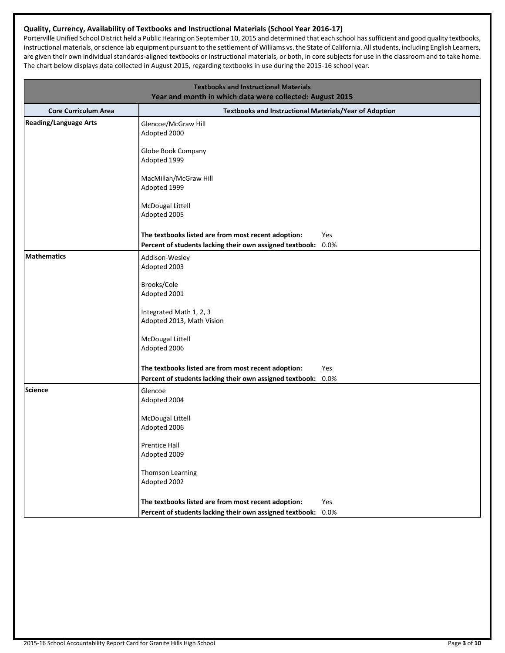## **Quality, Currency, Availability of Textbooks and Instructional Materials (School Year 2016-17)**

Porterville Unified School District held a Public Hearing on September 10, 2015 and determined that each school has sufficient and good quality textbooks, instructional materials, or science lab equipment pursuant to the settlement of Williams vs. the State of California. All students, including English Learners, are given their own individual standards-aligned textbooks or instructional materials, or both, in core subjects for use in the classroom and to take home. The chart below displays data collected in August 2015, regarding textbooks in use during the 2015-16 school year.

|                              | <b>Textbooks and Instructional Materials</b><br>Year and month in which data were collected: August 2015 |      |
|------------------------------|----------------------------------------------------------------------------------------------------------|------|
| <b>Core Curriculum Area</b>  | Textbooks and Instructional Materials/Year of Adoption                                                   |      |
| <b>Reading/Language Arts</b> | Glencoe/McGraw Hill<br>Adopted 2000                                                                      |      |
|                              | Globe Book Company<br>Adopted 1999                                                                       |      |
|                              | MacMillan/McGraw Hill<br>Adopted 1999                                                                    |      |
|                              | McDougal Littell<br>Adopted 2005                                                                         |      |
|                              | The textbooks listed are from most recent adoption:                                                      | Yes  |
|                              | Percent of students lacking their own assigned textbook:                                                 | 0.0% |
| <b>Mathematics</b>           | Addison-Wesley                                                                                           |      |
|                              | Adopted 2003                                                                                             |      |
|                              | Brooks/Cole                                                                                              |      |
|                              | Adopted 2001                                                                                             |      |
|                              | Integrated Math 1, 2, 3<br>Adopted 2013, Math Vision                                                     |      |
|                              |                                                                                                          |      |
|                              | McDougal Littell<br>Adopted 2006                                                                         |      |
|                              | The textbooks listed are from most recent adoption:                                                      | Yes  |
|                              | Percent of students lacking their own assigned textbook:                                                 | 0.0% |
| <b>Science</b>               | Glencoe<br>Adopted 2004                                                                                  |      |
|                              | McDougal Littell                                                                                         |      |
|                              | Adopted 2006                                                                                             |      |
|                              | <b>Prentice Hall</b>                                                                                     |      |
|                              | Adopted 2009                                                                                             |      |
|                              | Thomson Learning                                                                                         |      |
|                              | Adopted 2002                                                                                             |      |
|                              | The textbooks listed are from most recent adoption:                                                      | Yes  |
|                              | Percent of students lacking their own assigned textbook:                                                 | 0.0% |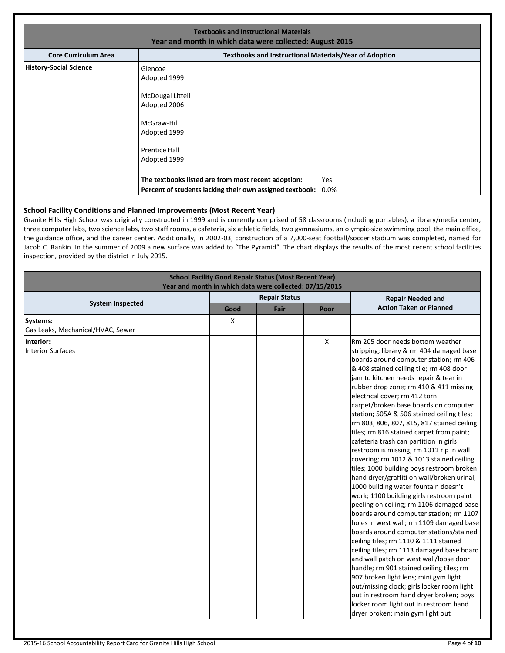| <b>Textbooks and Instructional Materials</b><br>Year and month in which data were collected: August 2015 |                                                                                                                                    |            |  |  |  |  |  |
|----------------------------------------------------------------------------------------------------------|------------------------------------------------------------------------------------------------------------------------------------|------------|--|--|--|--|--|
| <b>Core Curriculum Area</b>                                                                              | <b>Textbooks and Instructional Materials/Year of Adoption</b>                                                                      |            |  |  |  |  |  |
| <b>History-Social Science</b>                                                                            | Glencoe<br>Adopted 1999<br>McDougal Littell<br>Adopted 2006<br>McGraw-Hill<br>Adopted 1999<br><b>Prentice Hall</b><br>Adopted 1999 |            |  |  |  |  |  |
|                                                                                                          | The textbooks listed are from most recent adoption:<br>Percent of students lacking their own assigned textbook: 0.0%               | <b>Yes</b> |  |  |  |  |  |

## **School Facility Conditions and Planned Improvements (Most Recent Year)**

Granite Hills High School was originally constructed in 1999 and is currently comprised of 58 classrooms (including portables), a library/media center, three computer labs, two science labs, two staff rooms, a cafeteria, six athletic fields, two gymnasiums, an olympic-size swimming pool, the main office, the guidance office, and the career center. Additionally, in 2002-03, construction of a 7,000-seat football/soccer stadium was completed, named for Jacob C. Rankin. In the summer of 2009 a new surface was added to "The Pyramid". The chart displays the results of the most recent school facilities inspection, provided by the district in July 2015.

| <b>School Facility Good Repair Status (Most Recent Year)</b><br>Year and month in which data were collected: 07/15/2015 |      |                      |   |                                                                                                                                                                                                                                                                                                                                                                                                                                                                                                                                                                                                                                                                                                                                                                                                                                                                                                                                                                                                                                                                                                                                                                                                                                                                                                                                                                   |  |  |  |  |
|-------------------------------------------------------------------------------------------------------------------------|------|----------------------|---|-------------------------------------------------------------------------------------------------------------------------------------------------------------------------------------------------------------------------------------------------------------------------------------------------------------------------------------------------------------------------------------------------------------------------------------------------------------------------------------------------------------------------------------------------------------------------------------------------------------------------------------------------------------------------------------------------------------------------------------------------------------------------------------------------------------------------------------------------------------------------------------------------------------------------------------------------------------------------------------------------------------------------------------------------------------------------------------------------------------------------------------------------------------------------------------------------------------------------------------------------------------------------------------------------------------------------------------------------------------------|--|--|--|--|
|                                                                                                                         |      | <b>Repair Status</b> |   | <b>Repair Needed and</b>                                                                                                                                                                                                                                                                                                                                                                                                                                                                                                                                                                                                                                                                                                                                                                                                                                                                                                                                                                                                                                                                                                                                                                                                                                                                                                                                          |  |  |  |  |
| <b>System Inspected</b>                                                                                                 | Good | Fair<br>Poor         |   | <b>Action Taken or Planned</b>                                                                                                                                                                                                                                                                                                                                                                                                                                                                                                                                                                                                                                                                                                                                                                                                                                                                                                                                                                                                                                                                                                                                                                                                                                                                                                                                    |  |  |  |  |
| <b>Systems:</b><br>Gas Leaks, Mechanical/HVAC, Sewer                                                                    | x    |                      |   |                                                                                                                                                                                                                                                                                                                                                                                                                                                                                                                                                                                                                                                                                                                                                                                                                                                                                                                                                                                                                                                                                                                                                                                                                                                                                                                                                                   |  |  |  |  |
| Interior:<br><b>Interior Surfaces</b>                                                                                   |      |                      | X | Rm 205 door needs bottom weather<br>stripping; library & rm 404 damaged base<br>boards around computer station; rm 406<br>& 408 stained ceiling tile; rm 408 door<br>jam to kitchen needs repair & tear in<br>rubber drop zone; rm 410 & 411 missing<br>electrical cover; rm 412 torn<br>carpet/broken base boards on computer<br>station; 505A & 506 stained ceiling tiles;<br>rm 803, 806, 807, 815, 817 stained ceiling<br>tiles; rm 816 stained carpet from paint;<br>cafeteria trash can partition in girls<br>restroom is missing; rm 1011 rip in wall<br>covering; rm 1012 & 1013 stained ceiling<br>tiles; 1000 building boys restroom broken<br>hand dryer/graffiti on wall/broken urinal;<br>1000 building water fountain doesn't<br>work; 1100 building girls restroom paint<br>peeling on ceiling; rm 1106 damaged base<br>boards around computer station; rm 1107<br>holes in west wall; rm 1109 damaged base<br>boards around computer stations/stained<br>ceiling tiles; rm 1110 & 1111 stained<br>ceiling tiles; rm 1113 damaged base board<br>and wall patch on west wall/loose door<br>handle; rm 901 stained ceiling tiles; rm<br>907 broken light lens; mini gym light<br>out/missing clock; girls locker room light<br>out in restroom hand dryer broken; boys<br>locker room light out in restroom hand<br>dryer broken; main gym light out |  |  |  |  |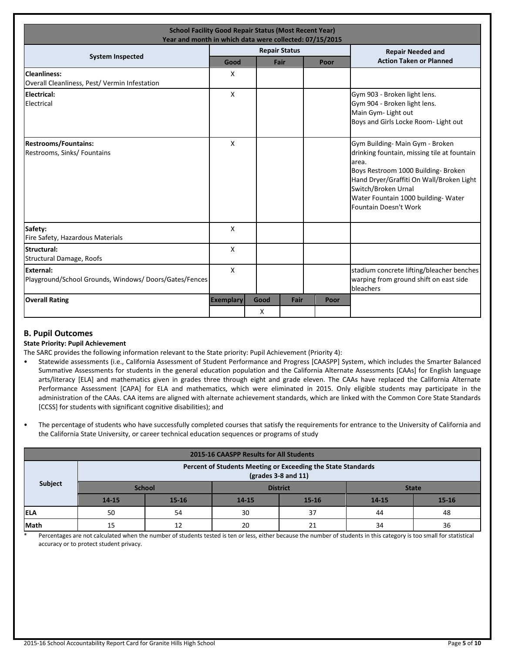| <b>School Facility Good Repair Status (Most Recent Year)</b><br>Year and month in which data were collected: 07/15/2015 |                  |           |                      |  |      |                                                                                                                                                                                                                                                                   |  |
|-------------------------------------------------------------------------------------------------------------------------|------------------|-----------|----------------------|--|------|-------------------------------------------------------------------------------------------------------------------------------------------------------------------------------------------------------------------------------------------------------------------|--|
|                                                                                                                         |                  |           | <b>Repair Status</b> |  |      | <b>Repair Needed and</b>                                                                                                                                                                                                                                          |  |
| <b>System Inspected</b>                                                                                                 | Good             |           | Fair                 |  | Poor | <b>Action Taken or Planned</b>                                                                                                                                                                                                                                    |  |
| <b>Cleanliness:</b><br>Overall Cleanliness, Pest/ Vermin Infestation                                                    | X                |           |                      |  |      |                                                                                                                                                                                                                                                                   |  |
| <b>Electrical:</b><br>Electrical                                                                                        | $\mathsf{X}$     |           |                      |  |      | Gym 903 - Broken light lens.<br>Gym 904 - Broken light lens.<br>Main Gym- Light out<br>Boys and Girls Locke Room- Light out                                                                                                                                       |  |
| <b>Restrooms/Fountains:</b><br>Restrooms, Sinks/ Fountains                                                              | X                |           |                      |  |      | Gym Building- Main Gym - Broken<br>drinking fountain, missing tile at fountain<br>area.<br>Boys Restroom 1000 Building- Broken<br>Hand Dryer/Graffiti On Wall/Broken Light<br>Switch/Broken Urnal<br>Water Fountain 1000 building- Water<br>Fountain Doesn't Work |  |
| Safety:<br>Fire Safety, Hazardous Materials                                                                             | X                |           |                      |  |      |                                                                                                                                                                                                                                                                   |  |
| Structural:<br><b>Structural Damage, Roofs</b>                                                                          | X                |           |                      |  |      |                                                                                                                                                                                                                                                                   |  |
| External:<br>Playground/School Grounds, Windows/Doors/Gates/Fences                                                      | X                |           |                      |  |      | stadium concrete lifting/bleacher benches<br>warping from ground shift on east side<br>bleachers                                                                                                                                                                  |  |
| <b>Overall Rating</b>                                                                                                   | <b>Exemplary</b> | Good<br>X | Fair                 |  | Poor |                                                                                                                                                                                                                                                                   |  |

## **B. Pupil Outcomes**

## **State Priority: Pupil Achievement**

The SARC provides the following information relevant to the State priority: Pupil Achievement (Priority 4):

- Statewide assessments (i.e., California Assessment of Student Performance and Progress [CAASPP] System, which includes the Smarter Balanced Summative Assessments for students in the general education population and the California Alternate Assessments [CAAs] for English language arts/literacy [ELA] and mathematics given in grades three through eight and grade eleven. The CAAs have replaced the California Alternate Performance Assessment [CAPA] for ELA and mathematics, which were eliminated in 2015. Only eligible students may participate in the administration of the CAAs. CAA items are aligned with alternate achievement standards, which are linked with the Common Core State Standards [CCSS] for students with significant cognitive disabilities); and
- The percentage of students who have successfully completed courses that satisfy the requirements for entrance to the University of California and the California State University, or career technical education sequences or programs of study

| <b>2015-16 CAASPP Results for All Students</b> |                                                                                                                  |               |           |                 |              |       |  |  |
|------------------------------------------------|------------------------------------------------------------------------------------------------------------------|---------------|-----------|-----------------|--------------|-------|--|--|
|                                                | Percent of Students Meeting or Exceeding the State Standards<br>$\left(\frac{\text{grades}}{3-8}\right)$ and 11) |               |           |                 |              |       |  |  |
| Subject                                        |                                                                                                                  | <b>School</b> |           | <b>District</b> | <b>State</b> |       |  |  |
|                                                | 14-15                                                                                                            | $15 - 16$     | $14 - 15$ | 15-16           |              | 15-16 |  |  |
| <b>IELA</b>                                    | 50                                                                                                               | 54            | 30        | 37              | 44           | 48    |  |  |
| <b>Math</b>                                    | 15                                                                                                               | 12            | 20        | 21              | 34           | 36    |  |  |

\* Percentages are not calculated when the number of students tested is ten or less, either because the number of students in this category is too small for statistical accuracy or to protect student privacy.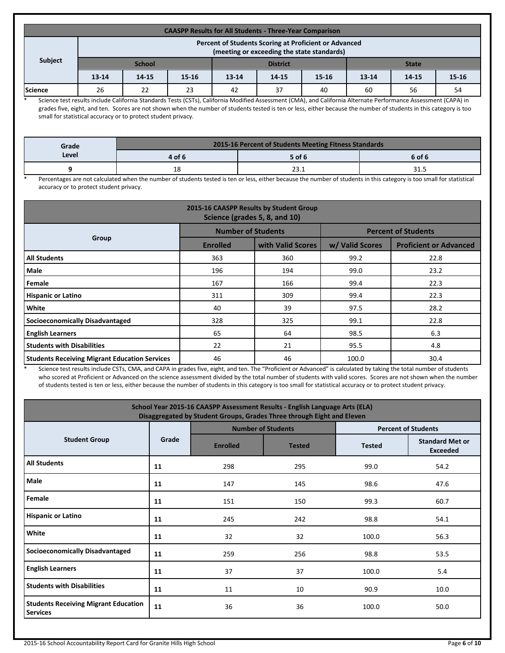| <b>CAASPP Results for All Students - Three-Year Comparison</b> |                                                                                                     |                                              |           |                                     |  |  |           |       |           |
|----------------------------------------------------------------|-----------------------------------------------------------------------------------------------------|----------------------------------------------|-----------|-------------------------------------|--|--|-----------|-------|-----------|
|                                                                | Percent of Students Scoring at Proficient or Advanced<br>(meeting or exceeding the state standards) |                                              |           |                                     |  |  |           |       |           |
| Subject                                                        | <b>School</b><br><b>District</b><br><b>State</b>                                                    |                                              |           |                                     |  |  |           |       |           |
|                                                                | $13 - 14$                                                                                           | 14-15                                        | $15 - 16$ | $15 - 16$<br>$13 - 14$<br>$14 - 15$ |  |  | $13 - 14$ | 14-15 | $15 - 16$ |
| <b>Science</b>                                                 | 26                                                                                                  | 23<br>56<br>22<br>42<br>37<br>40<br>54<br>60 |           |                                     |  |  |           |       |           |

\* Science test results include California Standards Tests (CSTs), California Modified Assessment (CMA), and California Alternate Performance Assessment (CAPA) in grades five, eight, and ten. Scores are not shown when the number of students tested is ten or less, either because the number of students in this category is too small for statistical accuracy or to protect student privacy.

| Grade | 2015-16 Percent of Students Meeting Fitness Standards |        |        |  |  |  |
|-------|-------------------------------------------------------|--------|--------|--|--|--|
| Level | 4 of 6                                                | 5 of 6 | 6 of 6 |  |  |  |
|       | 18                                                    | د. د ۲ | 31.3   |  |  |  |

\* Percentages are not calculated when the number of students tested is ten or less, either because the number of students in this category is too small for statistical accuracy or to protect student privacy.

| 2015-16 CAASPP Results by Student Group<br>Science (grades 5, 8, and 10) |                           |                   |                            |                               |  |  |
|--------------------------------------------------------------------------|---------------------------|-------------------|----------------------------|-------------------------------|--|--|
|                                                                          | <b>Number of Students</b> |                   | <b>Percent of Students</b> |                               |  |  |
| Group                                                                    | <b>Enrolled</b>           | with Valid Scores | w/ Valid Scores            | <b>Proficient or Advanced</b> |  |  |
| <b>All Students</b>                                                      | 363                       | 360               | 99.2                       | 22.8                          |  |  |
| Male                                                                     | 196                       | 194               | 99.0                       | 23.2                          |  |  |
| Female                                                                   | 167                       | 166               | 99.4                       | 22.3                          |  |  |
| <b>Hispanic or Latino</b>                                                | 311                       | 309               | 99.4                       | 22.3                          |  |  |
| White                                                                    | 40                        | 39                | 97.5                       | 28.2                          |  |  |
| <b>Socioeconomically Disadvantaged</b>                                   | 328                       | 325               | 99.1                       | 22.8                          |  |  |
| <b>English Learners</b>                                                  | 65                        | 64                | 98.5                       | 6.3                           |  |  |
| <b>Students with Disabilities</b>                                        | 22                        | 21                | 95.5                       | 4.8                           |  |  |
| <b>Students Receiving Migrant Education Services</b>                     | 46                        | 46                | 100.0                      | 30.4                          |  |  |

Science test results include CSTs, CMA, and CAPA in grades five, eight, and ten. The "Proficient or Advanced" is calculated by taking the total number of students who scored at Proficient or Advanced on the science assessment divided by the total number of students with valid scores. Scores are not shown when the number of students tested is ten or less, either because the number of students in this category is too small for statistical accuracy or to protect student privacy.

| School Year 2015-16 CAASPP Assessment Results - English Language Arts (ELA)<br>Disaggregated by Student Groups, Grades Three through Eight and Eleven |       |                 |                           |                            |                                           |  |
|-------------------------------------------------------------------------------------------------------------------------------------------------------|-------|-----------------|---------------------------|----------------------------|-------------------------------------------|--|
|                                                                                                                                                       |       |                 | <b>Number of Students</b> | <b>Percent of Students</b> |                                           |  |
| <b>Student Group</b>                                                                                                                                  | Grade | <b>Enrolled</b> | <b>Tested</b>             | <b>Tested</b>              | <b>Standard Met or</b><br><b>Exceeded</b> |  |
| <b>All Students</b>                                                                                                                                   | 11    | 298             | 295                       | 99.0                       | 54.2                                      |  |
| Male                                                                                                                                                  | 11    | 147             | 145                       | 98.6                       | 47.6                                      |  |
| Female                                                                                                                                                | 11    | 151             | 150                       | 99.3                       | 60.7                                      |  |
| <b>Hispanic or Latino</b>                                                                                                                             | 11    | 245             | 242                       | 98.8                       | 54.1                                      |  |
| White                                                                                                                                                 | 11    | 32              | 32                        | 100.0                      | 56.3                                      |  |
| <b>Socioeconomically Disadvantaged</b>                                                                                                                | 11    | 259             | 256                       | 98.8                       | 53.5                                      |  |
| <b>English Learners</b>                                                                                                                               | 11    | 37              | 37                        | 100.0                      | 5.4                                       |  |
| <b>Students with Disabilities</b>                                                                                                                     | 11    | 11              | 10                        | 90.9                       | 10.0                                      |  |
| <b>Students Receiving Migrant Education</b><br><b>Services</b>                                                                                        | 11    | 36              | 36                        | 100.0                      | 50.0                                      |  |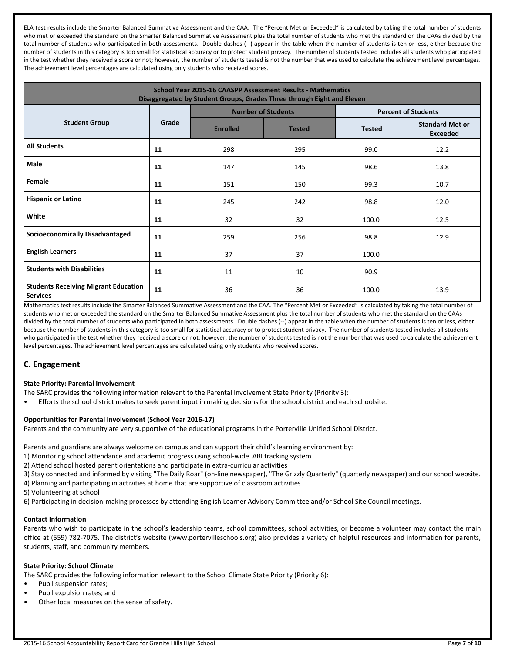ELA test results include the Smarter Balanced Summative Assessment and the CAA. The "Percent Met or Exceeded" is calculated by taking the total number of students who met or exceeded the standard on the Smarter Balanced Summative Assessment plus the total number of students who met the standard on the CAAs divided by the total number of students who participated in both assessments. Double dashes (--) appear in the table when the number of students is ten or less, either because the number of students in this category is too small for statistical accuracy or to protect student privacy. The number of students tested includes all students who participated in the test whether they received a score or not; however, the number of students tested is not the number that was used to calculate the achievement level percentages. The achievement level percentages are calculated using only students who received scores.

| School Year 2015-16 CAASPP Assessment Results - Mathematics<br>Disaggregated by Student Groups, Grades Three through Eight and Eleven |       |                 |                           |                            |                                           |  |
|---------------------------------------------------------------------------------------------------------------------------------------|-------|-----------------|---------------------------|----------------------------|-------------------------------------------|--|
|                                                                                                                                       |       |                 | <b>Number of Students</b> | <b>Percent of Students</b> |                                           |  |
| <b>Student Group</b>                                                                                                                  | Grade | <b>Enrolled</b> | <b>Tested</b>             | <b>Tested</b>              | <b>Standard Met or</b><br><b>Exceeded</b> |  |
| <b>All Students</b>                                                                                                                   | 11    | 298             | 295                       | 99.0                       | 12.2                                      |  |
| <b>Male</b>                                                                                                                           | 11    | 147             | 145                       | 98.6                       | 13.8                                      |  |
| Female                                                                                                                                | 11    | 151             | 150                       | 99.3                       | 10.7                                      |  |
| <b>Hispanic or Latino</b>                                                                                                             | 11    | 245             | 242                       | 98.8                       | 12.0                                      |  |
| White                                                                                                                                 | 11    | 32              | 32                        | 100.0                      | 12.5                                      |  |
| <b>Socioeconomically Disadvantaged</b>                                                                                                | 11    | 259             | 256                       | 98.8                       | 12.9                                      |  |
| <b>English Learners</b>                                                                                                               | 11    | 37              | 37                        | 100.0                      |                                           |  |
| <b>Students with Disabilities</b>                                                                                                     | 11    | 11              | 10                        | 90.9                       |                                           |  |
| <b>Students Receiving Migrant Education</b><br><b>Services</b>                                                                        | 11    | 36              | 36                        | 100.0                      | 13.9                                      |  |

Mathematics test results include the Smarter Balanced Summative Assessment and the CAA. The "Percent Met or Exceeded" is calculated by taking the total number of students who met or exceeded the standard on the Smarter Balanced Summative Assessment plus the total number of students who met the standard on the CAAs divided by the total number of students who participated in both assessments. Double dashes (--) appear in the table when the number of students is ten or less, either because the number of students in this category is too small for statistical accuracy or to protect student privacy. The number of students tested includes all students who participated in the test whether they received a score or not; however, the number of students tested is not the number that was used to calculate the achievement level percentages. The achievement level percentages are calculated using only students who received scores.

## **C. Engagement**

## **State Priority: Parental Involvement**

- The SARC provides the following information relevant to the Parental Involvement State Priority (Priority 3):
- Efforts the school district makes to seek parent input in making decisions for the school district and each schoolsite.

## **Opportunities for Parental Involvement (School Year 2016-17)**

Parents and the community are very supportive of the educational programs in the Porterville Unified School District.

Parents and guardians are always welcome on campus and can support their child's learning environment by:

- 1) Monitoring school attendance and academic progress using school-wide ABI tracking system
- 2) Attend school hosted parent orientations and participate in extra-curricular activities
- 3) Stay connected and informed by visiting "The Daily Roar" (on-line newspaper), "The Grizzly Quarterly" (quarterly newspaper) and our school website.
- 4) Planning and participating in activities at home that are supportive of classroom activities
- 5) Volunteering at school
- 6) Participating in decision-making processes by attending English Learner Advisory Committee and/or School Site Council meetings.

## **Contact Information**

Parents who wish to participate in the school's leadership teams, school committees, school activities, or become a volunteer may contact the main office at (559) 782-7075. The district's website (www.portervilleschools.org) also provides a variety of helpful resources and information for parents, students, staff, and community members.

## **State Priority: School Climate**

The SARC provides the following information relevant to the School Climate State Priority (Priority 6):

- Pupil suspension rates;
- Pupil expulsion rates; and
- Other local measures on the sense of safety.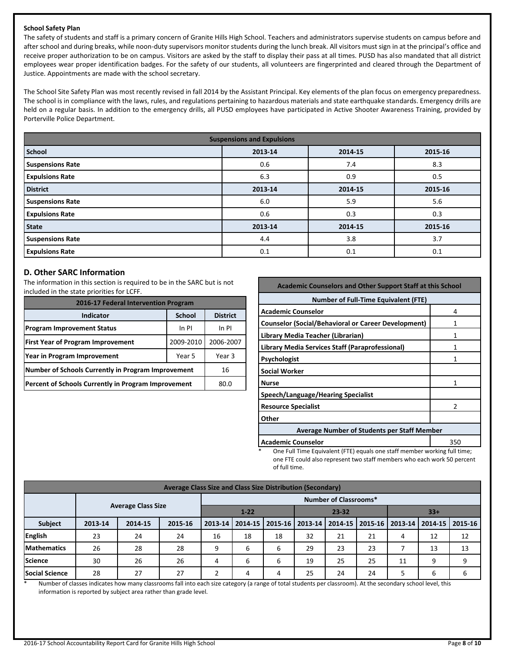## **School Safety Plan**

The safety of students and staff is a primary concern of Granite Hills High School. Teachers and administrators supervise students on campus before and after school and during breaks, while noon-duty supervisors monitor students during the lunch break. All visitors must sign in at the principal's office and receive proper authorization to be on campus. Visitors are asked by the staff to display their pass at all times. PUSD has also mandated that all district employees wear proper identification badges. For the safety of our students, all volunteers are fingerprinted and cleared through the Department of Justice. Appointments are made with the school secretary.

The School Site Safety Plan was most recently revised in fall 2014 by the Assistant Principal. Key elements of the plan focus on emergency preparedness. The school is in compliance with the laws, rules, and regulations pertaining to hazardous materials and state earthquake standards. Emergency drills are held on a regular basis. In addition to the emergency drills, all PUSD employees have participated in Active Shooter Awareness Training, provided by Porterville Police Department.

| <b>Suspensions and Expulsions</b> |         |         |         |  |  |
|-----------------------------------|---------|---------|---------|--|--|
| <b>School</b>                     | 2013-14 | 2014-15 | 2015-16 |  |  |
| <b>Suspensions Rate</b>           | 0.6     | 7.4     | 8.3     |  |  |
| <b>Expulsions Rate</b>            | 6.3     | 0.9     | 0.5     |  |  |
| <b>District</b>                   | 2013-14 | 2014-15 | 2015-16 |  |  |
| <b>Suspensions Rate</b>           | 6.0     | 5.9     | 5.6     |  |  |
| <b>Expulsions Rate</b>            | 0.6     | 0.3     | 0.3     |  |  |
| <b>State</b>                      | 2013-14 | 2014-15 | 2015-16 |  |  |
| <b>Suspensions Rate</b>           | 4.4     | 3.8     | 3.7     |  |  |
| <b>Expulsions Rate</b>            | 0.1     | 0.1     | 0.1     |  |  |

## **D. Other SARC Information**

The information in this section is required to be in the SARC but is not included in the state priorities for LCFF.

| 2016-17 Federal Intervention Program                |                 |  |  |  |  |
|-----------------------------------------------------|-----------------|--|--|--|--|
| <b>Indicator</b>                                    | <b>District</b> |  |  |  |  |
| <b>Program Improvement Status</b>                   | In PI           |  |  |  |  |
| <b>First Year of Program Improvement</b>            | 2006-2007       |  |  |  |  |
| Year in Program Improvement                         | Year 3          |  |  |  |  |
| Number of Schools Currently in Program Improvement  | 16              |  |  |  |  |
| Percent of Schools Currently in Program Improvement | 80.0            |  |  |  |  |

| <b>Academic Counselors and Other Support Staff at this School</b>                                     |     |  |  |  |  |
|-------------------------------------------------------------------------------------------------------|-----|--|--|--|--|
| <b>Number of Full-Time Equivalent (FTE)</b>                                                           |     |  |  |  |  |
| <b>Academic Counselor</b><br>4                                                                        |     |  |  |  |  |
| <b>Counselor (Social/Behavioral or Career Development)</b>                                            |     |  |  |  |  |
| Library Media Teacher (Librarian)                                                                     |     |  |  |  |  |
| Library Media Services Staff (Paraprofessional)                                                       | 1   |  |  |  |  |
| Psychologist                                                                                          |     |  |  |  |  |
| <b>Social Worker</b>                                                                                  |     |  |  |  |  |
| <b>Nurse</b>                                                                                          |     |  |  |  |  |
| Speech/Language/Hearing Specialist                                                                    |     |  |  |  |  |
| <b>Resource Specialist</b>                                                                            |     |  |  |  |  |
| Other                                                                                                 |     |  |  |  |  |
| <b>Average Number of Students per Staff Member</b>                                                    |     |  |  |  |  |
| <b>Academic Counselor</b><br>One Full Time Faujurlent (FTF) equals and staff momber weeking full time | 350 |  |  |  |  |

ne Full Time Equivalent (FTE) equals one staff member working full time; one FTE could also represent two staff members who each work 50 percent of full time.

| Average Class Size and Class Size Distribution (Secondary) |                              |         |         |                                |         |             |         |         |    |                   |                   |    |
|------------------------------------------------------------|------------------------------|---------|---------|--------------------------------|---------|-------------|---------|---------|----|-------------------|-------------------|----|
|                                                            | <b>Number of Classrooms*</b> |         |         |                                |         |             |         |         |    |                   |                   |    |
|                                                            | <b>Average Class Size</b>    |         |         | $1 - 22$<br>$23 - 32$<br>$33+$ |         |             |         |         |    |                   |                   |    |
| <b>Subject</b>                                             | 2013-14                      | 2014-15 | 2015-16 | $2013 - 14$                    | 2014-15 | $2015 - 16$ | 2013-14 | 2014-15 |    | 2015-16   2013-14 | 2014-15   2015-16 |    |
| English                                                    | 23                           | 24      | 24      | 16                             | 18      | 18          | 32      | 21      | 21 | 4                 | 12                | 12 |
| <b>Mathematics</b>                                         | 26                           | 28      | 28      | 9                              | 6       | 6           | 29      | 23      | 23 |                   | 13                | 13 |
| <b>Science</b>                                             | 30                           | 26      | 26      | 4                              | 6       | 6           | 19      | 25      | 25 | 11                | q                 | a  |
| <b>Social Science</b>                                      | 28                           | 27      | 27      |                                | 4       | 4           | 25      | 24      | 24 |                   | h                 | 6  |

\* Number of classes indicates how many classrooms fall into each size category (a range of total students per classroom). At the secondary school level, this information is reported by subject area rather than grade level.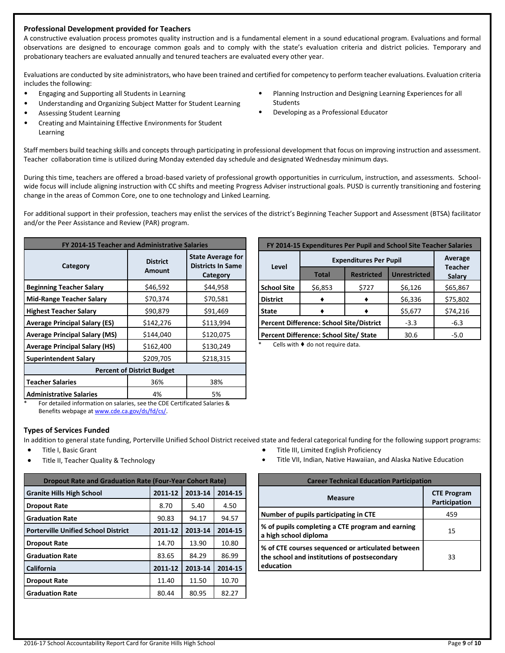## **Professional Development provided for Teachers**

A constructive evaluation process promotes quality instruction and is a fundamental element in a sound educational program. Evaluations and formal observations are designed to encourage common goals and to comply with the state's evaluation criteria and district policies. Temporary and probationary teachers are evaluated annually and tenured teachers are evaluated every other year.

Evaluations are conducted by site administrators, who have been trained and certified for competency to perform teacher evaluations. Evaluation criteria includes the following:

**Students** 

- Engaging and Supporting all Students in Learning
- Understanding and Organizing Subject Matter for Student Learning
- Assessing Student Learning
- Creating and Maintaining Effective Environments for Student Learning

Staff members build teaching skills and concepts through participating in professional development that focus on improving instruction and assessment. Teacher collaboration time is utilized during Monday extended day schedule and designated Wednesday minimum days.

During this time, teachers are offered a broad-based variety of professional growth opportunities in curriculum, instruction, and assessments. Schoolwide focus will include aligning instruction with CC shifts and meeting Progress Adviser instructional goals. PUSD is currently transitioning and fostering change in the areas of Common Core, one to one technology and Linked Learning.

For additional support in their profession, teachers may enlist the services of the district's Beginning Teacher Support and Assessment (BTSA) facilitator and/or the Peer Assistance and Review (PAR) program.

| FY 2014-15 Teacher and Administrative Salaries |                                  |                                                                  |  |  |  |
|------------------------------------------------|----------------------------------|------------------------------------------------------------------|--|--|--|
| Category                                       | <b>District</b><br><b>Amount</b> | <b>State Average for</b><br><b>Districts In Same</b><br>Category |  |  |  |
| <b>Beginning Teacher Salary</b>                | \$46,592                         | \$44,958                                                         |  |  |  |
| <b>Mid-Range Teacher Salary</b>                | \$70,374                         | \$70,581                                                         |  |  |  |
| <b>Highest Teacher Salary</b>                  | \$90,879                         | \$91,469                                                         |  |  |  |
| <b>Average Principal Salary (ES)</b>           | \$142,276                        | \$113,994                                                        |  |  |  |
| <b>Average Principal Salary (MS)</b>           | \$144,040                        | \$120,075                                                        |  |  |  |
| <b>Average Principal Salary (HS)</b>           | \$162,400                        | \$130,249                                                        |  |  |  |
| <b>Superintendent Salary</b>                   | \$209,705                        | \$218,315                                                        |  |  |  |
| <b>Percent of District Budget</b>              |                                  |                                                                  |  |  |  |
| <b>Teacher Salaries</b>                        | 36%                              | 38%                                                              |  |  |  |
| <b>Administrative Salaries</b>                 | 4%                               | 5%                                                               |  |  |  |

| FY 2014-15 Expenditures Per Pupil and School Site Teacher Salaries |                                        |                          |         |          |  |
|--------------------------------------------------------------------|----------------------------------------|--------------------------|---------|----------|--|
|                                                                    | <b>Expenditures Per Pupil</b>          | Average                  |         |          |  |
| Level                                                              | <b>Total</b>                           | <b>Teacher</b><br>Salary |         |          |  |
| <b>School Site</b>                                                 | \$6,853                                | \$727                    | \$6,126 | \$65,867 |  |
| <b>District</b>                                                    |                                        |                          | \$6,336 | \$75,802 |  |
| <b>State</b>                                                       |                                        | \$74,216                 |         |          |  |
| <b>Percent Difference: School Site/District</b>                    | $-3.3$                                 | $-6.3$                   |         |          |  |
|                                                                    | Percent Difference: School Site/ State | 30.6                     | $-5.0$  |          |  |

• Planning Instruction and Designing Learning Experiences for all

• Developing as a Professional Educator

Cells with  $\blacklozenge$  do not require data.

For detailed information on salaries, see the CDE Certificated Salaries & Benefits webpage a[t www.cde.ca.gov/ds/fd/cs/.](http://www.cde.ca.gov/ds/fd/cs/)

## **Types of Services Funded**

In addition to general state funding, Porterville Unified School District received state and federal categorical funding for the following support programs:

- Title I, Basic Grant
- Title II, Teacher Quality & Technology

| <b>Dropout Rate and Graduation Rate (Four-Year Cohort Rate)</b> |         |         |         |  |  |
|-----------------------------------------------------------------|---------|---------|---------|--|--|
| <b>Granite Hills High School</b>                                | 2011-12 | 2013-14 | 2014-15 |  |  |
| <b>Dropout Rate</b>                                             | 8.70    | 5.40    | 4.50    |  |  |
| <b>Graduation Rate</b>                                          | 90.83   | 94.17   | 94.57   |  |  |
| <b>Porterville Unified School District</b>                      | 2011-12 | 2013-14 | 2014-15 |  |  |
| <b>Dropout Rate</b>                                             | 14.70   | 13.90   | 10.80   |  |  |
| <b>Graduation Rate</b>                                          | 83.65   | 84.29   | 86.99   |  |  |
| California                                                      | 2011-12 | 2013-14 | 2014-15 |  |  |
| <b>Dropout Rate</b>                                             | 11.40   | 11.50   | 10.70   |  |  |
| <b>Graduation Rate</b>                                          | 80.44   | 80.95   | 82.27   |  |  |

- Title III, Limited English Proficiency
- Title VII, Indian, Native Hawaiian, and Alaska Native Education

| <b>Career Technical Education Participation</b>                                                                |                                     |  |  |  |
|----------------------------------------------------------------------------------------------------------------|-------------------------------------|--|--|--|
| <b>Measure</b>                                                                                                 | <b>CTE Program</b><br>Participation |  |  |  |
| Number of pupils participating in CTE                                                                          | 459                                 |  |  |  |
| % of pupils completing a CTE program and earning<br>a high school diploma                                      | 15                                  |  |  |  |
| % of CTE courses sequenced or articulated between<br>the school and institutions of postsecondary<br>education | 33                                  |  |  |  |